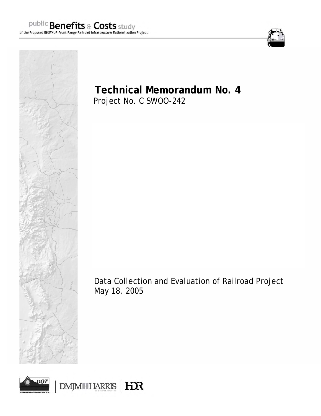



**Technical Memorandum No. 4**  Project No. C SWOO-242

Data Collection and Evaluation of Railroad Project May 18, 2005

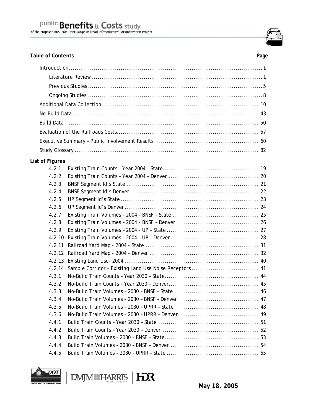Table of Contents **Page** 

| $Introduction \dots 1$ |  |  |
|------------------------|--|--|
|                        |  |  |
|                        |  |  |
|                        |  |  |
|                        |  |  |
|                        |  |  |
|                        |  |  |
|                        |  |  |
|                        |  |  |
|                        |  |  |
| List of Figures        |  |  |
| 4.2.1                  |  |  |
| 4.2.2                  |  |  |
| 4.2.3                  |  |  |
| 4.2.4                  |  |  |
| 4.2.5                  |  |  |
| 4.2.6                  |  |  |
| 4.2.7                  |  |  |
| 4.2.8                  |  |  |
| 4.2.9                  |  |  |
| 4.2.10                 |  |  |
| 4.2.11                 |  |  |
|                        |  |  |
|                        |  |  |
| 4.2.14                 |  |  |
| 4.3.1                  |  |  |
| 4.3.2                  |  |  |
| 4.3.3                  |  |  |
| 4.3.4                  |  |  |
| 4.3.5                  |  |  |
| 4.3.6                  |  |  |
| 4.4.1                  |  |  |
| 4.4.2                  |  |  |
| 4.4.3                  |  |  |
| 4.4.4                  |  |  |
| 4.4.5                  |  |  |



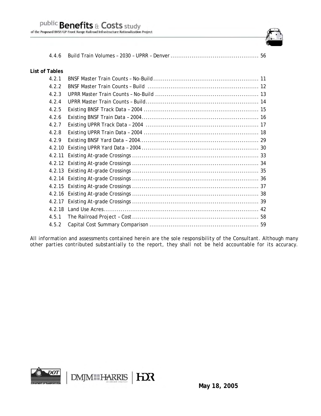

#### **List of Tables**

| 4.2.1  |  |
|--------|--|
| 4.2.2  |  |
| 4.2.3  |  |
| 4.2.4  |  |
| 4.2.5  |  |
| 4.2.6  |  |
| 4.2.7  |  |
| 4.2.8  |  |
| 4.2.9  |  |
| 4.2.10 |  |
|        |  |
|        |  |
|        |  |
|        |  |
|        |  |
|        |  |
|        |  |
|        |  |
| 4.5.1  |  |
| 4.5.2  |  |

*All information and assessments contained herein are the sole responsibility of the Consultant. Although many other parties contributed substantially to the report, they shall not be held accountable for its accuracy.*

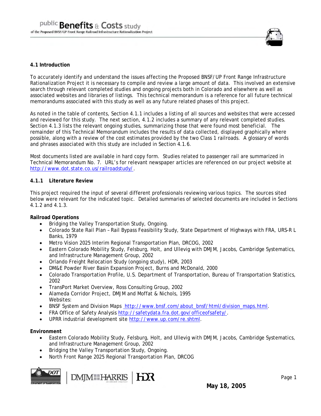

#### **4.1 Introduction**

To accurately identify and understand the issues affecting the Proposed BNSF/UP Front Range Infrastructure Rationalization Project it is necessary to compile and review a large amount of data. This involved an extensive search through relevant completed studies and ongoing projects both in Colorado and elsewhere as well as associated websites and libraries of listings. This technical memorandum is a reference for all future technical memorandums associated with this study as well as any future related phases of this project.

As noted in the table of contents, Section 4.1.1 includes a listing of all sources and websites that were accessed and reviewed for this study. The next section, 4.1.2 includes a summary of any relevant completed studies. Section 4.1.3 lists the relevant ongoing studies, summarizing those that were found most beneficial. The remainder of this Technical Memorandum includes the results of data collected, displayed graphically where possible, along with a review of the cost estimates provided by the two Class 1 railroads. A glossary of words and phrases associated with this study are included in Section 4.1.6.

Most documents listed are available in hard copy form. Studies related to passenger rail are summarized in Technical Memorandum No. 7. URL's for relevant newspaper articles are referenced on our project website at http://www.dot.state.co.us/railroadstudy/.

#### **4.1.1 Literature Review**

This project required the input of several different professionals reviewing various topics. The sources sited below were relevant for the indicated topic. Detailed summaries of selected documents are included in Sections 4.1.2 and 4.1.3.

#### **Railroad Operations**

- Bridging the Valley Transportation Study, Ongoing.
- Colorado State Rail Plan Rail Bypass Feasibility Study, State Department of Highways with FRA, URS-R L Banks, 1979
- Metro Vision 2025 Interim Regional Transportation Plan, DRCOG, 2002
- Eastern Colorado Mobility Study, Felsburg, Holt, and Ullevig with DMJM, Jacobs, Cambridge Systematics, and Infrastructure Management Group, 2002
- Orlando Freight Relocation Study (ongoing study), HDR, 2003
- DM&E Powder River Basin Expansion Project, Burns and McDonald, 2000
- Colorado Transportation Profile, U.S. Department of Transportation, Bureau of Transportation Statistics, 2002
- TransPort Market Overview, Ross Consulting Group, 2002
- Alameda Corridor Project, DMJM and Moffat & Nichols, 1995 Websites:
- BNSF System and Division Maps http://www.bnsf.com/about\_bnsf/html/division\_maps.html.
- FRA Office of Safety Analysis http://safetydata.fra.dot.gov/officeofsafety/.
- UPRR industrial development site http://www.up.com/re.shtml.

#### **Environment**

- Eastern Colorado Mobility Study, Felsburg, Holt, and Ullevig with DMJM, Jacobs, Cambridge Systematics, and Infrastructure Management Group, 2002
- Bridging the Valley Transportation Study, Ongoing.
- North Front Range 2025 Regional Transportation Plan, DRCOG

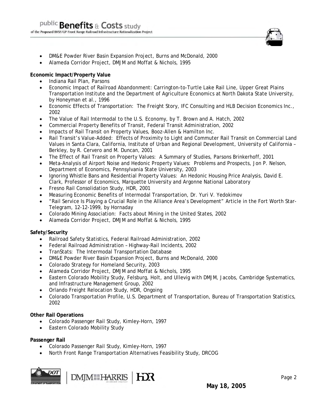

- DM&E Powder River Basin Expansion Project, Burns and McDonald, 2000
- Alameda Corridor Project, DMJM and Moffat & Nichols, 1995

#### **Economic Impact/Property Value**

- Indiana Rail Plan, Parsons
- Economic Impact of Railroad Abandonment: Carrington-to-Turtle Lake Rail Line, Upper Great Plains Transportation Institute and the Department of Agriculture Economics at North Dakota State University, by Honeyman et al., 1996
- Economic Effects of Transportation: The Freight Story, IFC Consulting and HLB Decision Economics Inc., 2002
- The Value of Rail Intermodal to the U.S. Economy, by T. Brown and A. Hatch, 2002
- Commercial Property Benefits of Transit, Federal Transit Administration, 2002
- Impacts of Rail Transit on Property Values, Booz-Allen & Hamilton Inc.
- Rail Transit's Value-Added: Effects of Proximity to Light and Commuter Rail Transit on Commercial Land Values in Santa Clara, California, Institute of Urban and Regional Development, University of California – Berkley, by R. Cervero and M. Duncan, 2001
- The Effect of Rail Transit on Property Values: A Summary of Studies, Parsons Brinkerhoff, 2001
- Meta-Analysis of Airport Noise and Hedonic Property Values: Problems and Prospects, Jon P. Nelson, Department of Economics, Pennsylvania State University, 2003
- Ignoring Whistle Bans and Residential Property Values: An Hedonic Housing Price Analysis, David E. Clark, Professor of Economics, Marquette University and Argonne National Laboratory
- Fresno Rail Consolidation Study, HDR, 2001
- Measuring Economic Benefits of Intermodal Transportation, Dr. Yuri V. Yedokimov
- "Rail Service Is Playing a Crucial Role in the Alliance Area's Development" Article in the Fort Worth Star-Telegram, 12-12-1999, by Hornaday
- Colorado Mining Association: Facts about Mining in the United States, 2002
- Alameda Corridor Project, DMJM and Moffat & Nichols, 1995

#### **Safety/Security**

- Railroad Safety Statistics, Federal Railroad Administration, 2002
- Federal Railroad Administration Highway-Rail Incidents, 2002
- TranStats: The Intermodal Transportation Database
- DM&E Powder River Basin Expansion Project, Burns and McDonald, 2000
- Colorado Strategy for Homeland Security, 2003
- Alameda Corridor Project, DMJM and Moffat & Nichols, 1995
- Eastern Colorado Mobility Study, Felsburg, Holt, and Ullevig with DMJM, Jacobs, Cambridge Systematics, and Infrastructure Management Group, 2002
- Orlando Freight Relocation Study, HDR, Ongoing
- Colorado Transportation Profile, U.S. Department of Transportation, Bureau of Transportation Statistics, 2002

### **Other Rail Operations**

- Colorado Passenger Rail Study, Kimley-Horn, 1997
- Eastern Colorado Mobility Study

#### **Passenger Rail**

- Colorado Passenger Rail Study, Kimley-Horn, 1997
- North Front Range Transportation Alternatives Feasibility Study, DRCOG

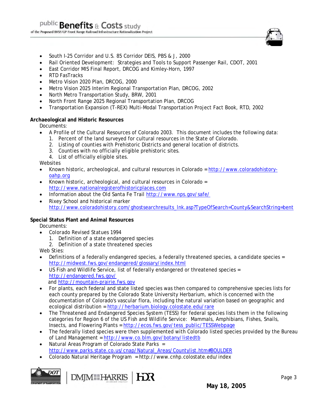

- South I-25 Corridor and U.S. 85 Corridor DEIS, PBS & J, 2000
- Rail Oriented Development: Strategies and Tools to Support Passenger Rail, CDOT, 2001
- East Corridor MIS Final Report, DRCOG and Kimley-Horn, 1997
- RTD FasTracks
- Metro Vision 2020 Plan, DRCOG, 2000
- Metro Vision 2025 Interim Regional Transportation Plan, DRCOG, 2002
- North Metro Transportation Study, BRW, 2001
- North Front Range 2025 Regional Transportation Plan, DRCOG
- Transportation Expansion (T-REX) Multi-Modal Transportation Project Fact Book, RTD, 2002

#### **Archaeological and Historic Resources**

Documents:

- A Profile of the Cultural Resources of Colorado 2003. This document includes the following data:
	- 1. Percent of the land surveyed for cultural resources in the State of Colorado.
	- 2. Listing of counties with Prehistoric Districts and general location of districts.
	- 3. Counties with no officially eligible prehistoric sites.
	- 4. List of officially eligible sites.

Websites

- Known historic, archeological, and cultural resources in Colorado = http://www.coloradohistoryoahp.org
- Known historic, archeological, and cultural resources in Colorado = http://www.nationalregisterofhistoricplaces.com
- Information about the Old Santa Fe Trail http://www.nps.gov/safe/
- Rixey School and historical marker http://www.coloradohistory.com/ghostsearchresults\_lnk.asp?TypeOfSearch=County&SearchString=bent

#### **Special Status Plant and Animal Resources**

Documents:

- *Colorado Revised Statues 1994* 
	- 1. Definition of a state endangered species
- 2. Definition of a state threatened species
- Web Sties:
- Definitions of a federally endangered species, a federally threatened species, a candidate species = http://midwest.fws.gov/endangered/glossary/index.html
- US Fish and Wildlife Service, list of federally endangered or threatened species = http://endangered.fws.gov/ and http://mountain-prairie.fws.gov
- For plants, each federal and state listed species was then compared to comprehensive species lists for each county prepared by the Colorado State University Herbarium, which is concerned with the documentation of Colorado's vascular flora, including the natural variation based on geographic and ecological distribution = http://herbarium.biology.colostate.edu/rare
- The Threatened and Endangered Species System (TESS) for federal species lists them in the following categories for Region 6 of the US Fish and Wildlife Service: Mammals, Amphibians, Fishes, Snails, Insects, and Flowering Plants = http://ecos.fws.gov/tess\_public/TESSWebpage
- The federally listed species were then supplemented with Colorado listed species provided by the Bureau of Land Management = http://www.co.blm.gov/botany/listedtb
- Natural Areas Program of Colorado State Parks = http://www.parks.state.co.us/cnap/Natural\_Areas/Countylist.htm#BOULDER
- Colorado Natural Heritage Program = http://www.cnhp.colostate.edu/index

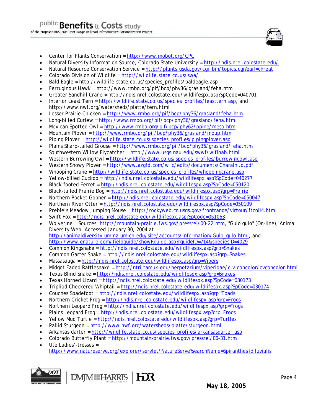

- Center for Plants Conservation = http://www.mobot.org/CPC
- Natural Diversity Information Source, Colorado State University = http://ndis.nrel.colostate.edu/
- Natural Resource Conservation Service = http://plants.usda.gov/cgi\_bin/topics.cgi?earl=threat
- Colorado Division of Wildlife = http://wildlife.state.co.us/swa/
- Bald Eagle = http://wildlife.state.co.us/species\_profiles/baldeagle.asp
- Ferruginous Hawk = http://www.rmbo.org/pif/bcp/phy36/grasland/feha.htm
- Greater Sandhill Crane = http://ndis.nrel.colostate.edu/wildlifespx.asp?SpCode=040701
- Interior Least Tern = http://wildlife.state.co.us/species\_profiles/leasttern.asp, and http://www.nwf.org/watersheds/platte/tern.html
- Lesser Prairie Chicken = http://www.rmbo.org/pif/bcp/phy36/grasland/feha.htm
- Long-billed Curlew = http://www.rmbo.org/pif/bcp/phy36/grasland/feha.htm
- Mexican Spotted Owl = http://www.rmbo.org/pif/bcp/phy62/ppine/meso.htm
- Mountain Plover = http://www.rmbo.org/pif/bcp/phy36/grasland/moup.htm
- Piping Plover = http://wildlife.state.co.us/species\_profiles/pipingplover.asp
- Plains Sharp-tailed Grouse = http://www.rmbo.org/pif/bcp/phy36/grasland/feha.htm
- Southwestern Willow Flycatcher = http://www.usgs.nau.edu/swwf/wiflhab.html
- Western Burrowing Owl = http://wildlife.state.co.us/species\_profiles/burrowingowl.asp
- Western Snowy Plover = http://www.azgfd.com/w\_c/edits/documents/Charalni.d.pdf
- Whooping Crane = http://wildlife.state.co.us/species\_profiles/whoopingcrane.asp
- Yellow-billed Cuckoo = http://ndis.nrel.colostate.edu/wildlifespx.asp?SpCode=040277
- Black-footed Ferret = http://ndis.nrel.colostate.edu/wildlifespx.asp?SpCode=050120
- Black-tailed Prairie Dog = http://ndis.nrel.colostate.edu/wildlifespx.asp?grp=Prairie
- Northern Pocket Gopher = http://ndis.nrel.colostate.edu/wildlifespx.asp?SpCode=050047
- Northern River Otter = http://ndis.nrel.colostate.edu/wildlifespx.asp?SpCode=050109
- Preble's Meadow Jumping Mouse = http://rockyweb.cr.usgs.gov/frontrange/virtour/ftcoll4.htm
- Swift Fox = http://ndis.nrel.colostate.edu/wildlifespx.asp?SpCode=051063
- Wolverine = Sources: http://mountain-prairie.fws.gov/pressrel/00-22.htm, "Gulo gulo" (On-line), Animal Diversity Web. Accessed January 30, 2004 at http://animaldiversity.ummz.umich.edu/site/accounts/information/Gulo\_gulo.html, and http://www.enature.com/fieldguide/showRguide.asp?rguideID=714&speciesID=4029
- *Common Kingsnake = http://ndis.nrel.colostate.edu/wildlifespx.asp?grp=Snakes*
- Common Garter Snake = http://ndis.nrel.colostate.edu/wildlifespx.asp?grp=Snakes
- Massasauga = http://ndis.nrel.colostate.edu/wildlifespx.asp?grp=Vipers
- Midget Faded Rattlesnake = http://ntri.tamuk.edu/herpetarium/viperidae/c.v.concolor/cvconcolor.html
- Texas Blind Snake = http://ndis.nrel.colostate.edu/wildlifespx.asp?grp=Snakes
- Texas Horned Lizard = http://ndis.nrel.colostate.edu/wildlifespx.asp?SpCode=030173
- Tripliod Checkered Whiptail = http://ndis.nrel.colostate.edu/wildlifespx.asp?SpCode=030174
- Couches Spadefoot = http://ndis.nrel.colostate.edu/wildlifespx.asp?grp=Toads
- Northern Cricket Frog = http://ndis.nrel.colostate.edu/wildlifespx.asp?grp=Frogs
- Northern Leopard Frog = http://ndis.nrel.colostate.edu/wildlifespx.asp?grp=Frogs
- Plains Leopard Frog = http://ndis.nrel.colostate.edu/wildlifespx.asp?grp=Frogs
- Yellow Mud Turtle = http://ndis.nrel.colostate.edu/wildlifespx.asp?grp=Turtles
- Pallid Sturgeon = http://www.nwf.org/watersheds/platte/sturgeon.html
- Arkansas darter = http://wildlife.state.co.us/species\_profiles/arkansasdarter.asp
- Colorado Butterfly Plant = http://mountain-prairie.fws.gov/pressrel/00-31.htm
- Ute Ladies'-tresses = http://www.natureserve.org/explorer/servlet/NatureServe?searchName=Spiranthes+diluvialis

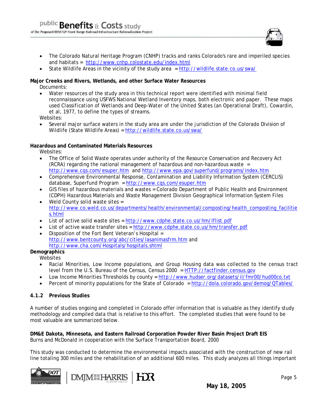

- The Colorado Natural Heritage Program (CNHP) tracks and ranks Colorado's rare and imperiled species and habitats = http://www.cnhp.colostate.edu/index.html
- State Wildlife Areas in the vicinity of the study area = http://wildlife.state.co.us/swa/

#### **Major Creeks and Rivers, Wetlands, and other Surface Water Resources**  Documents:

• Water resources of the study area in this technical report were identified with minimal field reconnaissance using USFWS National Wetland Inventory maps, both electronic and paper. These maps used *Classification of Wetlands and Deep-Water of the United States* (an Operational Draft), Cowardin, et al, 1977, to define the types of streams.

Websites:

• Several major surface waters in the study area are under the jurisdiction of the Colorado Division of Wildlife (State Wildlife Areas) = http://wildlife.state.co.us/swa/

#### **Hazardous and Contaminated Materials Resources**

Websites:

- The Office of Solid Waste operates under authority of the Resource Conservation and Recovery Act (RCRA) regarding the national management of hazardous and non-hazardous waste = http://www.cqs.com/esuper.htm and http://www.epa.gov/superfund/programs/index.htm
- Comprehensive Environmental Response, Contamination and Liability Information System (CERCLIS) database, Superfund Program = http://www.cqs.com/esuper.htm
- GIS files of hazardous materials and wastes = Colorado Department of Public Health and Environment (CDPH) Hazardous Materials and Waste Management Division Geographical Information System Files
- Weld County solid waste sites = http://www.co.weld.co.us/departments/health/environmental/composting/health\_composting\_facilitie s.html
- List of active solid waste sites = http://www.cdphe.state.co.us/hm/lflist.pdf
- List of active waste transfer sites = http://www.cdphe.state.co.us/hm/transfer.pdf
- Disposition of the Fort Bent Veteran's Hospital = http://www.bentcounty.org/abc/cities/lasanimasfrm.htm and http://www.cha.com/Hospitals/hospitals.shtml

# **Demographics**

**Websites** 

- Racial Minorities, Low Income populations, and Group Housing data was collected to the census tract level from the U.S. Bureau of the Census, Census 2000 = HTTP://factfinder.census.gov
- Low Income Minorities Thresholds by county = http://www.hudser.org/datasets/il/fmr00/hud00co.txt
- Percent of minority populations for the State of Colorado = http://dola.colorado.gov/demog/QTables/

#### **4.1.2 Previous Studies**

A number of studies ongoing and completed in Colorado offer information that is valuable as they identify study methodology and compiled data that is relative to this effort. The completed studies that were found to be most valuable are summarized below.

**DM&E Dakota, Minnesota, and Eastern Railroad Corporation Powder River Basin Project Draft EIS**  Burns and McDonald in cooperation with the Surface Transportation Board, 2000

This study was conducted to determine the environmental impacts associated with the construction of new rail line totaling 300 miles and the rehabilitation of an additional 600 miles. This study analyzes all things important



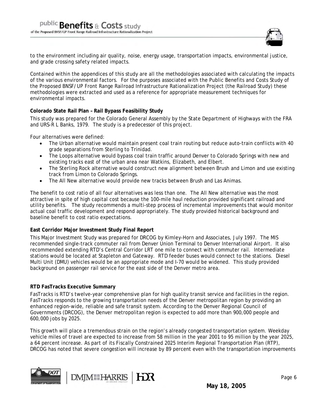

to the environment including air quality, noise, energy usage, transportation impacts, environmental justice, and grade crossing safety related impacts.

Contained within the appendices of this study are all the methodologies associated with calculating the impacts of the various environmental factors. For the purposes associated with the Public Benefits and Costs Study of the Proposed BNSF/UP Front Range Railroad Infrastructure Rationalization Project (the Railroad Study) these methodologies were extracted and used as a reference for appropriate measurement techniques for environmental impacts.

#### **Colorado State Rail Plan – Rail Bypass Feasibility Study**

This study was prepared for the Colorado General Assembly by the State Department of Highways with the FRA and URS-R L Banks, 1979. The study is a predecessor of this project.

Four alternatives were defined:

- The Urban alternative would maintain present coal train routing but reduce auto-train conflicts with 40 grade separations from Sterling to Trinidad.
- The Loops alternative would bypass coal train traffic around Denver to Colorado Springs with new and existing tracks east of the urban area near Watkins, Elizabeth, and Elbert.
- The Sterling Rock alternative would construct new alignment between Brush and Limon and use existing track from Limon to Colorado Springs.
- The All New alternative would provide new tracks between Brush and Las Animas.

The benefit to cost ratio of all four alternatives was less than one. The All New alternative was the most attractive in spite of high capital cost because the 100-mile haul reduction provided significant railroad and utility benefits. The study recommends a multi-step process of incremental improvements that would monitor actual coal traffic development and respond appropriately. The study provided historical background and baseline benefit to cost ratio expectations.

#### **East Corridor Major Investment Study Final Report**

This Major Investment Study was prepared for DRCOG by Kimley-Horn and Associates, July 1997. The MIS recommended single-track commuter rail from Denver Union Terminal to Denver International Airport. It also recommended extending RTD's Central Corridor LRT one mile to connect with commuter rail. Intermediate stations would be located at Stapleton and Gateway. RTD feeder buses would connect to the stations. Diesel Multi Unit (DMU) vehicles would be an appropriate mode and I-70 would be widened. This study provided background on passenger rail service for the east side of the Denver metro area.

#### **RTD FasTracks Executive Summary**

FasTracks is RTD's twelve-year comprehensive plan for high quality transit service and facilities in the region. FasTracks responds to the growing transportation needs of the Denver metropolitan region by providing an enhanced region-wide, reliable and safe transit system. According to the Denver Regional Council of Governments (DRCOG), the Denver metropolitan region is expected to add more than 900,000 people and 600,000 jobs by 2025.

This growth will place a tremendous strain on the region's already congested transportation system. Weekday vehicle miles of travel are expected to increase from 58 million in the year 2001 to 95 million by the year 2025, a 64 percent increase. As part of its Fiscally Constrained 2025 Interim Regional Transportation Plan (RTP), DRCOG has noted that severe congestion will increase by 89 percent even with the transportation improvements





**May 18, 2005**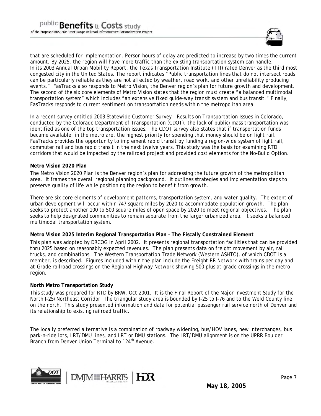

that are scheduled for implementation. Person hours of delay are predicted to increase by two times the current amount. By 2025, the region will have more traffic than the existing transportation system can handle. In its *2003 Annual Urban Mobility Report*, the Texas Transportation Institute (TTI) rated Denver as the third most congested city in the United States. The report indicates "Public transportation lines that do not intersect roads can be particularly reliable as they are not affected by weather, road work, and other unreliability producing events." FasTracks also responds to *Metro Vision*, the Denver region's plan for future growth and development. The second of the six core elements of Metro Vision states that the region must create "a balanced multimodal transportation system" which includes "an extensive fixed guide-way transit system and bus transit." Finally, FasTracks responds to current sentiment on transportation needs within the metropolitan area.

In a recent survey entitled *2003 Statewide Customer Survey – Results on Transportation Issues in Colorado,*  conducted by the Colorado Department of Transportation (CDOT), the lack of public/mass transportation was identified as one of the top transportation issues. The CDOT survey also states that if transportation funds became available, in the metro are*,* the highest priority for spending that money should be on light rail. FasTracks provides the opportunity to implement rapid transit by funding a region-wide system of light rail, commuter rail and bus rapid transit in the next twelve years. This study was the basis for examining RTD corridors that would be impacted by the railroad project and provided cost elements for the No-Build Option.

#### **Metro Vision 2020 Plan**

The Metro Vision 2020 Plan is the Denver region's plan for addressing the future growth of the metropolitan area. It frames the overall regional planning background. It outlines strategies and implementation steps to preserve quality of life while positioning the region to benefit from growth.

There are six core elements of development patterns, transportation system, and water quality. The extent of urban development will occur within 747 square miles by 2020 to accommodate population growth. The plan seeks to protect another 100 to 500 square miles of open space by 2020 to meet regional objectives. The plan seeks to help designated communities to remain separate from the larger urbanized area. It seeks a balanced multimodal transportation system.

#### **Metro Vision 2025 Interim Regional Transportation Plan – The Fiscally Constrained Element**

This plan was adopted by DRCOG in April 2002. It presents regional transportation facilities that can be provided thru 2025 based on reasonably expected revenues. The plan presents data on freight movement by air, rail trucks, and combinations. The Western Transportation Trade Network (Western ASHTO), of which CDOT is a member, is described. Figures included within the plan include the Freight RR Network with trains per day and at-Grade railroad crossings on the Regional Highway Network showing 500 plus at-grade crossings in the metro region.

#### **North Metro Transportation Study**

This study was prepared for RTD by BRW, Oct 2001. It is the Final Report of the Major Investment Study for the North I-25/Northeast Corridor. The triangular study area is bounded by I-25 to I-76 and to the Weld County line on the north. This study presented information and data for potential passenger rail service north of Denver and its relationship to existing railroad traffic.

The locally preferred alternative is a combination of roadway widening, bus/HOV lanes, new interchanges, bus park-n-ride lots, LRT/DMU lines, and LRT or DMU stations. The LRT/DMU alignment is on the UPRR Boulder Branch from Denver Union Terminal to 124<sup>th</sup> Avenue.



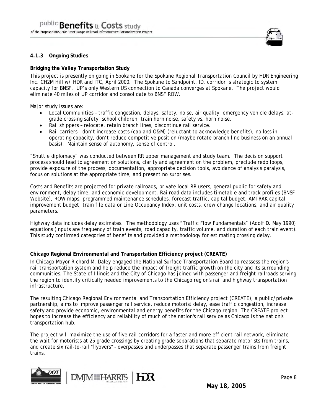

#### **4.1.3 Ongoing Studies**

#### **Bridging the Valley Transportation Study**

This project is presently on going in Spokane for the Spokane Regional Transportation Council by HDR Engineering Inc. CH2M Hill w/ HDR and ITC, April 2000. The Spokane to Sandpoint, ID, corridor is strategic to system capacity for BNSF. UP's only Western US connection to Canada converges at Spokane. The project would eliminate 40 miles of UP corridor and consolidate to BNSF ROW.

Major study issues are:

- Local Communities traffic congestion, delays, safety, noise, air quality, emergency vehicle delays, atgrade crossing safety, school children, train horn noise, safety vs. horn noise.
- Rail shippers relocate, retain branch lines, discontinue rail service.
- Rail carriers don't increase costs (cap and O&M) (reluctant to acknowledge benefits), no loss in operating capacity, don't reduce competitive position (maybe rotate branch line business on an annual basis). Maintain sense of autonomy, sense of control.

"Shuttle diplomacy" was conducted between RR upper management and study team. The decision support process should lead to agreement on solutions, clarity and agreement on the problem, preclude redo loops, provide exposure of the process, documentation, appropriate decision tools, avoidance of analysis paralysis, focus on solutions at the appropriate time, and present no surprises.

Costs and Benefits are projected for private railroads, private local RR users, general public for safety and environment, delay time, and economic development. Railroad data includes timetable and track profiles (BNSF Website), ROW maps, programmed maintenance schedules, forecast traffic, capital budget, AMTRAK capital improvement budget, train file data or Line Occupancy Index, unit costs, crew change locations, and air quality parameters.

Highway data includes delay estimates. The methodology uses "Traffic Flow Fundamentals" (Adolf D. May 1990) equations (inputs are frequency of train events, road capacity, traffic volume, and duration of each train event). This study confirmed categories of benefits and provided a methodology for estimating crossing delay.

#### **Chicago Regional Environmental and Transportation Efficiency project (CREATE)**

In Chicago Mayor Richard M. Daley engaged the National Surface Transportation Board to reassess the region's rail transportation system and help reduce the impact of freight traffic growth on the city and its surrounding communities. The State of Illinois and the City of Chicago has joined with passenger and freight railroads serving the region to identify critically needed improvements to the Chicago region's rail and highway transportation infrastructure.

The resulting Chicago Regional Environmental and Transportation Efficiency project (CREATE), a public/private partnership, aims to improve passenger rail service, reduce motorist delay, ease traffic congestion, increase safety and provide economic, environmental and energy benefits for the Chicago region. The CREATE project hopes to increase the efficiency and reliability of much of the nation's rail service as Chicago is the nation's transportation hub.

The project will maximize the use of five rail corridors for a faster and more efficient rail network, eliminate the wait for motorists at 25 grade crossings by creating grade separations that separate motorists from trains, and create six rail-to-rail "flyovers" - overpasses and underpasses that separate passenger trains from freight trains.





**May 18, 2005**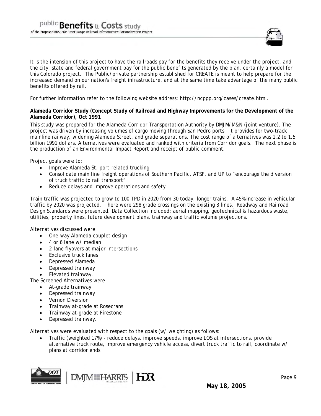

It is the intension of this project to have the railroads pay for the benefits they receive under the project, and the city, state and federal government pay for the public benefits generated by the plan, certainly a model for this Colorado project. The Public/private partnership established for CREATE is meant to help prepare for the increased demand on our nation's freight infrastructure, and at the same time take advantage of the many public benefits offered by rail.

For further information refer to the following website address: http://ncppp.org/cases/create.html.

#### **Alameda Corridor Study (Concept Study of Railroad and Highway Improvements for the Development of the Alameda Corridor), Oct 1991**

This study was prepared for the Alameda Corridor Transportation Authority by DMJM/M&N (joint venture). The project was driven by increasing volumes of cargo moving through San Pedro ports. It provides for two-track mainline railway, widening Alameda Street, and grade separations. The cost range of alternatives was 1.2 to 1.5 billion 1991 dollars. Alternatives were evaluated and ranked with criteria from Corridor goals. The next phase is the production of an Environmental Impact Report and receipt of public comment.

Project goals were to:

- Improve Alameda St. port-related trucking
- Consolidate main line freight operations of Southern Pacific, ATSF, and UP to "encourage the diversion of truck traffic to rail transport"
- Reduce delays and improve operations and safety

Train traffic was projected to grow to 100 TPD in 2020 from 30 today, longer trains. A 45% increase in vehicular traffic by 2020 was projected. There were 298 grade crossings on the existing 3 lines. Roadway and Railroad Design Standards were presented. Data Collection included; aerial mapping, geotechnical & hazardous waste, utilities, property lines, future development plans, trainway and traffic volume projections.

Alternatives discussed were

- One-way Alameda couplet design
- 4 or 6 lane w/ median
- 2-lane flyovers at major intersections
- Exclusive truck lanes
- Depressed Alameda
- Depressed trainway
- Elevated trainway.

The Screened Alternatives were

- At-grade trainway
- Depressed trainway
- Vernon Diversion
- Trainway at-grade at Rosecrans
- Trainway at-grade at Firestone
- Depressed trainway.

Alternatives were evaluated with respect to the goals (w/ weighting) as follows:

• Traffic (weighted 17%) - reduce delays, improve speeds, improve LOS at intersections, provide alternative truck route, improve emergency vehicle access, divert truck traffic to rail, coordinate w/ plans at corridor ends.

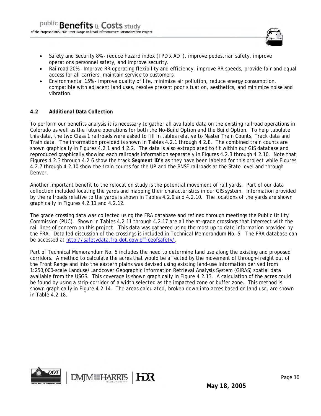

- Safety and Security 8% reduce hazard index (TPD x ADT), improve pedestrian safety, improve operations personnel safety, and improve security.
- Railroad 20% Improve RR operating flexibility and efficiency, improve RR speeds, provide fair and equal access for all carriers, maintain service to customers.
- Environmental 15% improve quality of life, minimize air pollution, reduce energy consumption, compatible with adjacent land uses, resolve present poor situation, aesthetics, and minimize noise and vibration.

#### **4.2 Additional Data Collection**

To perform our benefits analysis it is necessary to gather all available data on the existing railroad operations in Colorado as well as the future operations for both the No-Build Option and the Build Option. To help tabulate this data, the two Class 1 railroads were asked to fill in tables relative to Master Train Counts, Track data and Train data. The information provided is shown in Tables 4.2.1 through 4.2.8. The combined train counts are shown graphically in Figures 4.2.1 and 4.2.2. The data is also extrapolated to fit within our GIS database and reproduced graphically showing each railroads information separately in Figures 4.2.3 through 4.2.10. Note that Figures 4.2.3 through 4.2.6 show the track *Segment ID's* as they have been labeled for this project while Figures 4.2.7 through 4.2.10 show the train counts for the UP and the BNSF railroads at the State level and through Denver.

Another important benefit to the relocation study is the potential movement of rail yards. Part of our data collection included locating the yards and mapping their characteristics in our GIS system. Information provided by the railroads relative to the yards is shown in Tables 4.2.9 and 4.2.10. The locations of the yards are shown graphically in Figures 4.2.11 and 4.2.12.

The grade crossing data was collected using the FRA database and refined through meetings the Public Utility Commission (PUC). Shown in Tables 4.2.11 through 4.2.17 are all the at-grade crossings that intersect with the rail lines of concern on this project. This data was gathered using the most up to date information provided by the FRA. Detailed discussion of the crossings is included in Technical Memorandum No. 5. The FRA database can be accessed at http://safetydata.fra.dot.gov/officeofsafety/.

Part of Technical Memorandum No. 5 includes the need to determine land use along the existing and proposed corridors. A method to calculate the acres that would be affected by the movement of through-freight out of the Front Range and into the eastern plains was devised using existing land-use information derived from 1:250,000-scale Landuse/Landcover Geographic Information Retrieval Analysis System (GIRAS) spatial data available from the USGS. This coverage is shown graphically in Figure 4.2.13. A calculation of the acres could be found by using a strip-corridor of a width selected as the impacted zone or buffer zone. This method is shown graphically in Figure 4.2.14. The areas calculated, broken down into acres based on land use, are shown in Table 4.2.18.

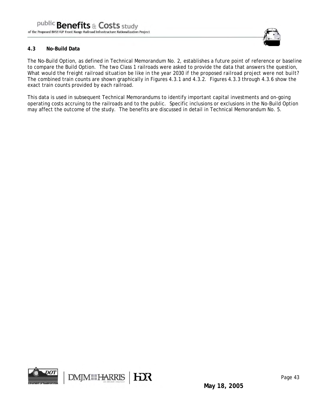

#### **4.3 No-Build Data**

The No-Build Option, as defined in Technical Memorandum No. 2, establishes a future point of reference or baseline to compare the Build Option. The two Class 1 railroads were asked to provide the data that answers the question, *What would the freight railroad situation be like in the year 2030 if the proposed railroad project were not built?* The combined train counts are shown graphically in Figures 4.3.1 and 4.3.2. Figures 4.3.3 through 4.3.6 show the exact train counts provided by each railroad.

This data is used in subsequent Technical Memorandums to identify important capital investments and on-going operating costs accruing to the railroads and to the public. Specific inclusions or exclusions in the No-Build Option may affect the outcome of the study. The benefits are discussed in detail in Technical Memorandum No. 5.

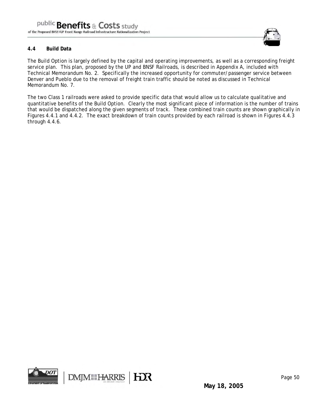

#### **4.4 Build Data**

The Build Option is largely defined by the capital and operating improvements, as well as a corresponding freight service plan. This plan, proposed by the UP and BNSF Railroads, is described in Appendix A, included with Technical Memorandum No. 2. Specifically the increased opportunity for commuter/passenger service between Denver and Pueblo due to the removal of freight train traffic should be noted as discussed in Technical Memorandum No. 7.

The two Class 1 railroads were asked to provide specific data that would allow us to calculate qualitative and quantitative benefits of the Build Option. Clearly the most significant piece of information is the number of trains that would be dispatched along the given segments of track. These combined train counts are shown graphically in Figures 4.4.1 and 4.4.2. The exact breakdown of train counts provided by each railroad is shown in Figures 4.4.3 through 4.4.6.

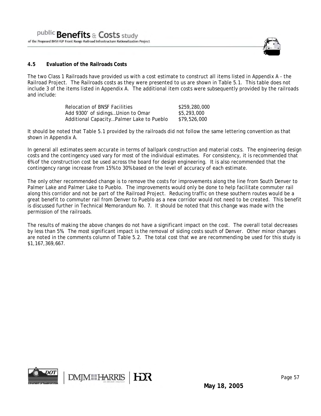

#### **4.5 Evaluation of the Railroads Costs**

The two Class 1 Railroads have provided us with a cost estimate to construct all items listed in Appendix A - the Railroad Project. The Railroads costs as they were presented to us are shown in Table 5.1. This table does not include 3 of the items listed in Appendix A. The additional item costs were subsequently provided by the railroads and include:

| Relocation of BNSF Facilities            | \$259,280,000 |
|------------------------------------------|---------------|
| Add 9300' of sidingsUnion to Omar        | \$5,293,000   |
| Additional CapacityPalmer Lake to Pueblo | \$79,526,000  |

It should be noted that Table 5.1 provided by the railroads did not follow the same lettering convention as that shown in Appendix A.

In general all estimates seem accurate in terms of ballpark construction and material costs. The engineering design costs and the contingency used vary for most of the individual estimates. For consistency, it is recommended that 6% of the construction cost be used across the board for design engineering. It is also recommended that the contingency range increase from 15% to 30% based on the level of accuracy of each estimate.

The only other recommended change is to remove the costs for improvements along the line from South Denver to Palmer Lake and Palmer Lake to Pueblo. The improvements would only be done to help facilitate commuter rail along this corridor and not be part of the Railroad Project. Reducing traffic on these southern routes would be a great benefit to commuter rail from Denver to Pueblo as a new corridor would not need to be created. This benefit is discussed further in Technical Memorandum No. 7. It should be noted that this change was made with the permission of the railroads.

The results of making the above changes do not have a significant impact on the cost. The overall total decreases by less than 5%. The most significant impact is the removal of siding costs south of Denver. Other minor changes are noted in the comments column of Table 5.2. The total cost that we are recommending be used for this study is \$1,167,369,667.

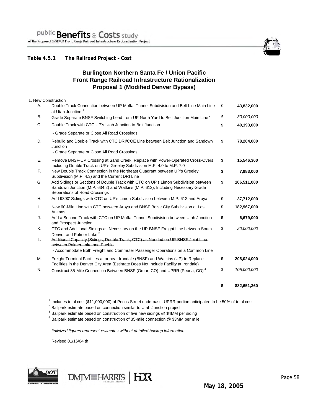### **Table 4.5.1 The Railroad Project – Cost**

## **Burlington Northern Santa Fe / Union Pacific Front Range Railroad Infrastructure Rationalization Proposal 1 (Modified Denver Bypass)**

| 1. New Construction |                                                                                                                                                                                                        |                   |
|---------------------|--------------------------------------------------------------------------------------------------------------------------------------------------------------------------------------------------------|-------------------|
| Α.                  | Double Track Connection between UP Moffat Tunnel Subdivision and Belt Line Main Line<br>at Utah Junction <sup>1</sup>                                                                                  | \$<br>43,832,000  |
| В.                  | Grade Separate BNSF Switching Lead from UP North Yard to Belt Junction Main Line <sup>2</sup>                                                                                                          | \$<br>30,000,000  |
| C.                  | Double Track with CTC UP's Utah Junction to Belt Junction                                                                                                                                              | \$<br>40,193,000  |
|                     | - Grade Separate or Close All Road Crossings                                                                                                                                                           |                   |
| D.                  | Rebuild and Double Track with CTC DRI/COE Line between Belt Junction and Sandown<br>Junction<br>- Grade Separate or Close All Road Crossings                                                           | \$<br>78,204,000  |
|                     |                                                                                                                                                                                                        |                   |
| Ε.                  | Remove BNSF-UP Crossing at Sand Creek; Replace with Power-Operated Cross-Overs,<br>Including Double Track on UP's Greeley Subdivision M.P. 4.0 to M.P. 7.0                                             | \$<br>15,546,360  |
| F.                  | New Double Track Connection in the Northeast Quadrant between UP's Greeley<br>Subdivision (M.P. 4.3) and the Current DRI Line                                                                          | \$<br>7,983,000   |
| G.                  | Add Sidings or Sections of Double Track with CTC on UP's Limon Subdivision between<br>Sandown Junction (M.P. 634.2) and Watkins (M.P. 612), Including Necessary Grade<br>Separations of Road Crossings | \$<br>106,511,000 |
| Η.                  | Add 9300' Sidings with CTC on UP's Limon Subdivision between M.P. 612 and Aroya                                                                                                                        | \$<br>37,712,000  |
| Τ.                  | New 60-Mile Line with CTC between Aroya and BNSF Boise City Subdivision at Las<br>Animas                                                                                                               | \$<br>182,967,000 |
| J.                  | Add a Second Track with CTC on UP Moffat Tunnel Subdivision between Utah Junction<br>and Prospect Junction                                                                                             | \$<br>6,679,000   |
| Κ.                  | CTC and Additional Sidings as Necessary on the UP-BNSF Freight Line between South<br>Denver and Palmer Lake <sup>3</sup>                                                                               | \$<br>20,000,000  |
| L.                  | Additional Capacity (Sidings, Double Track, CTC) as Needed on UP-BNSF Joint Line<br>between Palmer Lake and Pueble                                                                                     |                   |
|                     | - Accommodate Both Freight and Commuter Passenger Operations on a Common Line                                                                                                                          |                   |
| М.                  | Freight Terminal Facilities at or near Irondale (BNSF) and Watkins (UP) to Replace<br>Facilities in the Denver City Area (Estimate Does Not Include Facility at Irondale)                              | \$<br>208,024,000 |
| N.                  | Construct 35-Mile Connection Between BNSF (Omar, CO) and UPRR (Peoria, CO) <sup>4</sup>                                                                                                                | \$<br>105,000,000 |
|                     |                                                                                                                                                                                                        | \$<br>882,651,360 |

<sup>1</sup> Includes total cost (\$11,000,000) of Pecos Street underpass. UPRR portion anticipated to be 50% of total cost

<sup>2</sup> Ballpark estimate based on connection similar to Utah Junction project

 $3$  Ballpark estimate based on construction of five new sidings  $@$  \$4MM per siding

<sup>4</sup> Ballpark estimate based on construction of 35-mile connection @ \$3MM per mile

*Italicized figures represent estimates without detailed backup information*

Revised 01/16/04 th



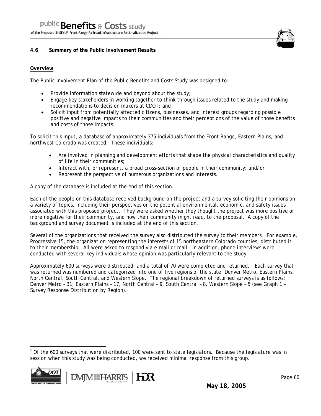#### **4.6 Summary of the Public Involvement Results**

#### **Overview**

The Public Involvement Plan of the Public Benefits and Costs Study was designed to:

- Provide information statewide and beyond about the study;
- Engage key stakeholders in working together to think through issues related to the study and making recommendations to decision makers at CDOT; and
- Solicit input from potentially affected citizens, businesses, and interest groups regarding possible positive and negative impacts to their communities and their perceptions of the value of those benefits and costs of those impacts.

To solicit this input, a database of approximately 375 individuals from the Front Range, Eastern Plains, and northwest Colorado was created. These individuals:

- Are involved in planning and development efforts that shape the physical characteristics and quality of life in their communities;
- Interact with, or represent, a broad cross-section of people in their community; and/or
- Represent the perspective of numerous organizations and interests.

A copy of the database is included at the end of this section.

Each of the people on this database received background on the project and a survey soliciting their opinions on a variety of topics, including their perspectives on the potential environmental, economic, and safety issues associated with this proposed project. They were asked whether they thought the project was more positive or more negative for their community, and how their community might react to the proposal. A copy of the background and survey document is included at the end of this section.

Several of the organizations that received the survey also distributed the survey to their members. For example, Progressive 15, the organization representing the interests of 15 northeastern Colorado counties, distributed it to their membership. All were asked to respond via e-mail or mail. In addition, phone interviews were conducted with several key individuals whose opinion was particularly relevant to the study.

Approximately 600 surveys were distributed, and a total of 70 were completed and returned.<sup>1</sup> Each survey that was returned was numbered and categorized into one of five regions of the state: Denver Metro, Eastern Plains, North Central, South Central, and Western Slope. The regional breakdown of returned surveys is as follows: Denver Metro – 31, Eastern Plains – 17, North Central – 9, South Central – 8, Western Slope – 5 (see G*raph 1 – Survey Response Distribution by Region*).

 $1$  Of the 600 surveys that were distributed, 100 were sent to state legislators. Because the legislature was in session when this study was being conducted, we received minimal response from this group.



 $\overline{a}$ 

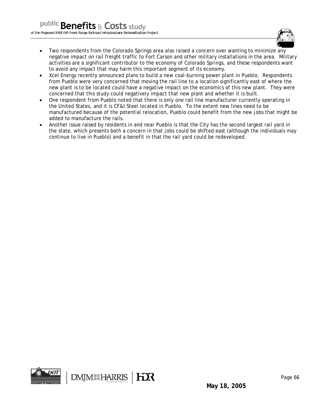

- Two respondents from the Colorado Springs area also raised a concern over wanting to minimize any negative impact on rail freight traffic to Fort Carson and other military installations in the area. Military activities are a significant contributor to the economy of Colorado Springs, and these respondents want to avoid any impact that may harm this important segment of its economy.
- Xcel Energy recently announced plans to build a new coal-burning power plant in Pueblo. Respondents from Pueblo were very concerned that moving the rail line to a location significantly east of where the new plant is to be located could have a negative impact on the economics of this new plant. They were concerned that this study could negatively impact that new plant and whether it is built.
- One respondent from Pueblo noted that there is only one rail line manufacturer currently operating in the United States, and it is CF&I Steel located in Pueblo. To the extent new lines need to be manufactured because of the potential relocation, Pueblo could benefit from the new jobs that might be added to manufacture the rails.
- Another issue raised by residents in and near Pueblo is that the City has the second largest rail yard in the state, which presents both a concern in that jobs could be shifted east (although the individuals may continue to live in Pueblo) and a benefit in that the rail yard could be redeveloped.

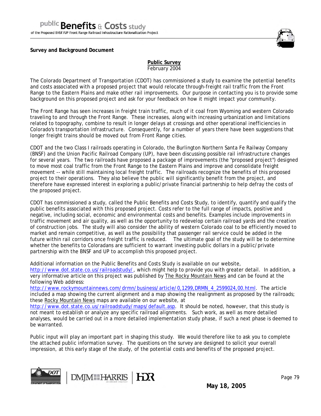**Survey and Background Document** 



#### **Public Survey** February 2004

The Colorado Department of Transportation (CDOT) has commissioned a study to examine the potential benefits and costs associated with a proposed project that would relocate through-freight rail traffic from the Front Range to the Eastern Plains and make other rail improvements. Our purpose in contacting you is to provide some background on this proposed project and ask for your feedback on how it might impact your community.

The Front Range has seen increases in freight train traffic, much of it coal from Wyoming and western Colorado traveling to and through the Front Range. These increases, along with increasing urbanization and limitations related to topography, combine to result in longer delays at crossings and other operational inefficiencies in Colorado's transportation infrastructure. Consequently, for a number of years there have been suggestions that longer freight trains should be moved out from Front Range cities.

CDOT and the two Class I railroads operating in Colorado, the Burlington Northern Santa Fe Railway Company (BNSF) and the Union Pacific Railroad Company (UP), have been discussing possible rail infrastructure changes for several years. The two railroads have proposed a package of improvements (the "proposed project") designed to move most coal traffic from the Front Range to the Eastern Plains and improve and consolidate freight movement -- while still maintaining local freight traffic. The railroads recognize the benefits of this proposed project to their operations. They also believe the public will significantly benefit from the project, and therefore have expressed interest in exploring a public/private financial partnership to help defray the costs of the proposed project.

CDOT has commissioned a study, called the Public Benefits and Costs Study, to identify, quantify and qualify the public benefits associated with this proposed project. Costs refer to the full range of impacts, positive and negative, including social, economic and environmental costs and benefits. Examples include improvements in traffic movement and air quality, as well as the opportunity to redevelop certain railroad yards and the creation of construction jobs. The study will also consider the ability of western Colorado coal to be efficiently moved to market and remain competitive, as well as the possibility that passenger rail service could be added in the future within rail corridors once freight traffic is reduced. The ultimate goal of the study will be to determine whether the benefits to Coloradans are sufficient to warrant investing public dollars in a public/private partnership with the BNSF and UP to accomplish this proposed project.

Additional information on the Public Benefits and Costs Study is available on our website, http://www.dot.state.co.us/railroadstudy/, which might help to provide you with greater detail. In addition, a very informative article on this project was published by The Rocky Mountain News and can be found at the following Web address:

http://www.rockymountainnews.com/drmn/business/article/0,1299,DRMN\_4\_2599024,00.html. The article included a map showing the current alignment and a map showing the realignment as proposed by the railroads; these Rocky Mountain News maps are available on our website, at

http://www.dot.state.co.us/railroadstudy/maps/default.asp. It should be noted, however, that this study is not meant to establish or analyze any specific railroad alignments. Such work, as well as more detailed analyses, would be carried out in a more detailed implementation study phase, if such a next phase is deemed to be warranted.

Public input will play an important part in shaping this study. We would therefore like to ask you to complete the attached public information survey. The questions on the survey are designed to solicit your overall impression, at this early stage of the study, of the potential costs and benefits of the proposed project.





**May 18, 2005**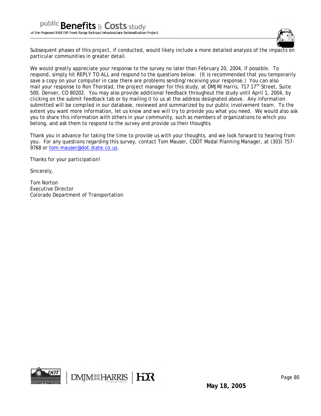

Subsequent phases of this project, if conducted, would likely include a more detailed analysis of the impacts on particular communities in greater detail.

We would greatly appreciate your response to the survey no later than February 20, 2004, if possible. To respond, simply hit REPLY TO ALL and respond to the questions below. (It is recommended that you temporarily save a copy on your computer in case there are problems sending/receiving your response.) You can also mail your response to Ron Thorstad, the project manager for this study, at DMJM/Harris, 717 17<sup>th</sup> Street, Suite 500, Denver, CO 80202. You may also provide additional feedback throughout the study until April 1, 2004, by clicking on the submit feedback tab or by mailing it to us at the address designated above. Any information submitted will be compiled in our database, reviewed and summarized by our public involvement team. To the extent you want more information, let us know and we will try to provide you what you need. We would also ask you to share this information with others in your community, such as members of organizations to which you belong, and ask them to respond to the survey and provide us their thoughts.

Thank you in advance for taking the time to provide us with your thoughts, and we look forward to hearing from you. For any questions regarding this survey, contact Tom Mauser, CDOT Modal Planning Manager, at (303) 757- 9768 or tom.mauser@dot.state.co.us.

Thanks for your participation!

Sincerely,

Tom Norton Executive Director Colorado Department of Transportation

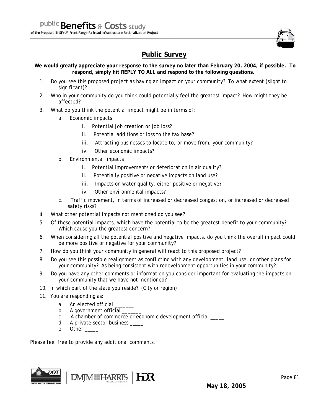

# **Public Survey**

**We would greatly appreciate your response to the survey no later than February 20, 2004, if possible. To respond, simply hit REPLY TO ALL and respond to the following questions.**

- 1. Do you see this proposed project as having an impact on your community? To what extent (slight to significant)?
- 2. Who in your community do you think could potentially feel the greatest impact? How might they be affected?
- 3. What do you think the potential impact might be in terms of:
	- a. Economic impacts
		- i. Potential job creation or job loss?
		- ii. Potential additions or loss to the tax base?
		- iii. Attracting businesses to locate to, or move from, your community?
		- iv. Other economic impacts?
	- b. Environmental impacts
		- i. Potential improvements or deterioration in air quality?
		- ii. Potentially positive or negative impacts on land use?
		- iii. Impacts on water quality, either positive or negative?
		- iv. Other environmental impacts?
	- c. Traffic movement, in terms of increased or decreased congestion, or increased or decreased safety risks?
- 4. What other potential impacts not mentioned do you see?
- 5. Of these potential impacts, which have the potential to be the greatest benefit to your community? Which cause you the greatest concern?
- 6. When considering all the potential positive and negative impacts, do you think the overall impact could be more positive or negative for your community?
- 7. How do you think your community in general will react to this proposed project?
- 8. Do you see this possible realignment as conflicting with any development, land use, or other plans for your community? As being consistent with redevelopment opportunities in your community?
- 9. Do you have any other comments or information you consider important for evaluating the impacts on your community that we have not mentioned?
- 10. In which part of the state you reside? (City or region)
- 11. You are responding as:
	- a. An elected official
	- b. A government official
	- c. A chamber of commerce or economic development official \_\_\_\_\_
	- d. A private sector business \_\_\_\_\_\_
	- e. Other

Please feel free to provide any additional comments.

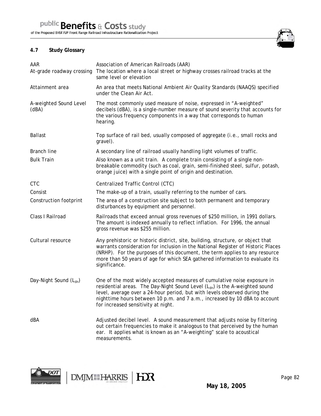## **4.7 Study Glossary**

| AAR<br>At-grade roadway crossing   | Association of American Railroads (AAR)<br>The location where a local street or highway crosses railroad tracks at the<br>same level or elevation                                                                                                                                                                                                                     |
|------------------------------------|-----------------------------------------------------------------------------------------------------------------------------------------------------------------------------------------------------------------------------------------------------------------------------------------------------------------------------------------------------------------------|
| Attainment area                    | An area that meets National Ambient Air Quality Standards (NAAQS) specified<br>under the Clean Air Act.                                                                                                                                                                                                                                                               |
| A-weighted Sound Level<br>(dBA)    | The most commonly used measure of noise, expressed in "A-weighted"<br>decibels (dBA), is a single-number measure of sound severity that accounts for<br>the various frequency components in a way that corresponds to human<br>hearing.                                                                                                                               |
| <b>Ballast</b>                     | Top surface of rail bed, usually composed of aggregate (i.e., small rocks and<br>gravel).                                                                                                                                                                                                                                                                             |
| <b>Branch line</b>                 | A secondary line of railroad usually handling light volumes of traffic.                                                                                                                                                                                                                                                                                               |
| <b>Bulk Train</b>                  | Also known as a unit train. A complete train consisting of a single non-<br>breakable commodity (such as coal, grain, semi-finished steel, sulfur, potash,<br>orange juice) with a single point of origin and destination.                                                                                                                                            |
| <b>CTC</b>                         | Centralized Traffic Control (CTC)                                                                                                                                                                                                                                                                                                                                     |
| Consist                            | The make-up of a train, usually referring to the number of cars.                                                                                                                                                                                                                                                                                                      |
| Construction footprint             | The area of a construction site subject to both permanent and temporary<br>disturbances by equipment and personnel.                                                                                                                                                                                                                                                   |
| Class I Railroad                   | Railroads that exceed annual gross revenues of \$250 million, in 1991 dollars.<br>The amount is indexed annually to reflect inflation. For 1996, the annual<br>gross revenue was \$255 million.                                                                                                                                                                       |
| Cultural resource                  | Any prehistoric or historic district, site, building, structure, or object that<br>warrants consideration for inclusion in the National Register of Historic Places<br>(NRHP). For the purposes of this document, the term applies to any resource<br>more than 50 years of age for which SEA gathered information to evaluate its<br>significance.                   |
| Day-Night Sound (L <sub>dn</sub> ) | One of the most widely accepted measures of cumulative noise exposure in<br>residential areas. The Day-Night Sound Level (L <sub>dn</sub> ) is the A-weighted sound<br>level, average over a 24-hour period, but with levels observed during the<br>nighttime hours between 10 p.m. and 7 a.m., increased by 10 dBA to account<br>for increased sensitivity at night. |
| dBA                                | Adjusted decibel level. A sound measurement that adjusts noise by filtering<br>out certain frequencies to make it analogous to that perceived by the human<br>ear. It applies what is known as an "A-weighting" scale to acoustical<br>measurements.                                                                                                                  |



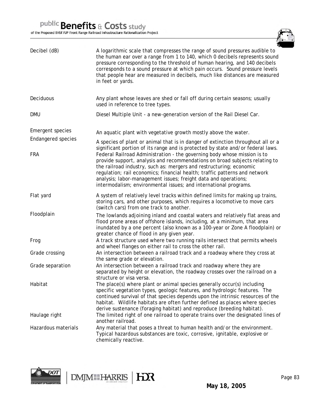

| Decibel (dB)              | A logarithmic scale that compresses the range of sound pressures audible to<br>the human ear over a range from 1 to 140, which 0 decibels represents sound<br>pressure corresponding to the threshold of human hearing, and 140 decibels<br>corresponds to a sound pressure at which pain occurs. Sound pressure levels<br>that people hear are measured in decibels, much like distances are measured<br>in feet or yards.                         |
|---------------------------|-----------------------------------------------------------------------------------------------------------------------------------------------------------------------------------------------------------------------------------------------------------------------------------------------------------------------------------------------------------------------------------------------------------------------------------------------------|
| Deciduous                 | Any plant whose leaves are shed or fall off during certain seasons; usually<br>used in reference to tree types.                                                                                                                                                                                                                                                                                                                                     |
| DMU                       | Diesel Multiple Unit - a new-generation version of the Rail Diesel Car.                                                                                                                                                                                                                                                                                                                                                                             |
| <b>Emergent species</b>   | An aquatic plant with vegetative growth mostly above the water.                                                                                                                                                                                                                                                                                                                                                                                     |
| <b>Endangered species</b> | A species of plant or animal that is in danger of extinction throughout all or a<br>significant portion of its range and is protected by state and/or federal laws.                                                                                                                                                                                                                                                                                 |
| <b>FRA</b>                | Federal Railroad Administration - the governing body whose mission is to<br>provide support, analysis and recommendations on broad subjects relating to<br>the railroad industry, such as: mergers and restructuring; economic<br>regulation; rail economics; financial health; traffic patterns and network<br>analysis; labor-management issues; freight data and operations;<br>intermodalism; environmental issues; and international programs. |
| Flat yard                 | A system of relatively level tracks within defined limits for making up trains,<br>storing cars, and other purposes, which requires a locomotive to move cars<br>(switch cars) from one track to another.                                                                                                                                                                                                                                           |
| Floodplain                | The lowlands adjoining inland and coastal waters and relatively flat areas and<br>flood prone areas of offshore islands, including, at a minimum, that area<br>inundated by a one percent (also known as a 100-year or Zone A floodplain) or<br>greater chance of flood in any given year.                                                                                                                                                          |
| Frog                      | A track structure used where two running rails intersect that permits wheels<br>and wheel flanges on either rail to cross the other rail.                                                                                                                                                                                                                                                                                                           |
| Grade crossing            | An intersection between a railroad track and a roadway where they cross at<br>the same grade or elevation.                                                                                                                                                                                                                                                                                                                                          |
| Grade separation          | An intersection between a railroad track and roadway where they are<br>separated by height or elevation, the roadway crosses over the railroad on a<br>structure or visa versa.                                                                                                                                                                                                                                                                     |
| Habitat                   | The place(s) where plant or animal species generally occur(s) including<br>specific vegetation types, geologic features, and hydrologic features. The<br>continued survival of that species depends upon the intrinsic resources of the<br>habitat. Wildlife habitats are often further defined as places where species<br>derive sustenance (foraging habitat) and reproduce (breeding habitat).                                                   |
| Haulage right             | The limited right of one railroad to operate trains over the designated lines of<br>another railroad.                                                                                                                                                                                                                                                                                                                                               |
| Hazardous materials       | Any material that poses a threat to human health and/or the environment.<br>Typical hazardous substances are toxic, corrosive, ignitable, explosive or<br>chemically reactive.                                                                                                                                                                                                                                                                      |



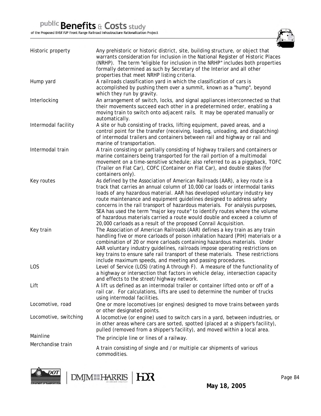

| Historic property     | Any prehistoric or historic district, site, building structure, or object that<br>warrants consideration for inclusion in the National Register of Historic Places<br>(NRHP). The term "eligible for inclusion in the NRHP" includes both properties<br>formally determined as such by Secretary of the Interior and all other<br>properties that meet NRHP listing criteria.                                                                                                                                                                                                                                                      |
|-----------------------|------------------------------------------------------------------------------------------------------------------------------------------------------------------------------------------------------------------------------------------------------------------------------------------------------------------------------------------------------------------------------------------------------------------------------------------------------------------------------------------------------------------------------------------------------------------------------------------------------------------------------------|
| Hump yard             | A railroads classification yard in which the classification of cars is<br>accomplished by pushing them over a summit, known as a "hump", beyond<br>which they run by gravity.                                                                                                                                                                                                                                                                                                                                                                                                                                                      |
| Interlocking          | An arrangement of switch, locks, and signal appliances interconnected so that<br>their movements succeed each other in a predetermined order, enabling a<br>moving train to switch onto adjacent rails. It may be operated manually or<br>automatically.                                                                                                                                                                                                                                                                                                                                                                           |
| Intermodal facility   | A site or hub consisting of tracks, lifting equipment, paved areas, and a<br>control point for the transfer (receiving, loading, unloading, and dispatching)<br>of intermodal trailers and containers between rail and highway or rail and<br>marine of transportation.                                                                                                                                                                                                                                                                                                                                                            |
| Intermodal train      | A train consisting or partially consisting of highway trailers and containers or<br>marine containers being transported for the rail portion of a multimodal<br>movement on a time-sensitive schedule; also referred to as a piggyback, TOFC<br>(Trailer on Flat Car), COFC (Container on Flat Car), and double stakes (for<br>containers only).                                                                                                                                                                                                                                                                                   |
| Key routes            | As defined by the Association of American Railroads (AAR), a key route is a<br>track that carries an annual column of 10,000 car loads or intermodal tanks<br>loads of any hazardous material. AAR has developed voluntary industry key<br>route maintenance and equipment guidelines designed to address safety<br>concerns in the rail transport of hazardous materials. For analysis purposes,<br>SEA has used the term "major key route" to identify routes where the volume<br>of hazardous materials carried a route would double and exceed a column of<br>20,000 carloads as a result of the proposed Conrail Acquisition. |
| Key train             | The Association of American Railroads (AAR) defines a key train as any train<br>handling five or more carloads of poison inhalation hazard (PIH) materials or a<br>combination of 20 or more carloads containing hazardous materials. Under<br>AAR voluntary industry guidelines, railroads impose operating restrictions on<br>key trains to ensure safe rail transport of these materials. These restrictions<br>include maximum speeds, and meeting and passing procedures.                                                                                                                                                     |
| LOS                   | Level of Service (LOS) (rating A through F). A measure of the functionality of<br>a highway or intersection that factors in vehicle delay, intersection capacity<br>and effects to the street/highway network.                                                                                                                                                                                                                                                                                                                                                                                                                     |
| Lift                  | A lift us defined as an intermodal trailer or container lifted onto or off of a<br>rail car. For calculations, lifts are used to determine the number of trucks<br>using intermodal facilities.                                                                                                                                                                                                                                                                                                                                                                                                                                    |
| Locomotive, road      | One or more locomotives (or engines) designed to move trains between yards<br>or other designated points.                                                                                                                                                                                                                                                                                                                                                                                                                                                                                                                          |
| Locomotive, switching | A locomotive (or engine) used to switch cars in a yard, between industries, or<br>in other areas where cars are sorted, spotted (placed at a shipper's facility),<br>pulled (removed from a shipper's facility), and moved within a local area.                                                                                                                                                                                                                                                                                                                                                                                    |
| Mainline              | The principle line or lines of a railway.                                                                                                                                                                                                                                                                                                                                                                                                                                                                                                                                                                                          |
| Merchandise train     | A train consisting of single and /or multiple car shipments of various<br>commodities.                                                                                                                                                                                                                                                                                                                                                                                                                                                                                                                                             |



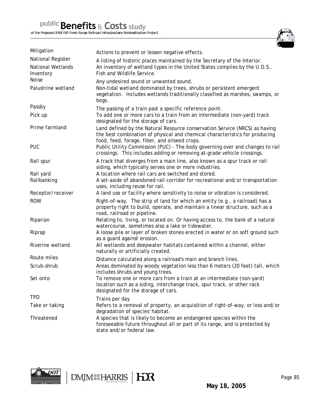

| Mitigation                             | Actions to prevent or lessen negative effects.                                                                                                                                                             |
|----------------------------------------|------------------------------------------------------------------------------------------------------------------------------------------------------------------------------------------------------------|
| National Register<br>National Wetlands | A listing of historic places maintained by the Secretary of the Interior.<br>An inventory of wetland types in the United States compiles by the U.D.S                                                      |
| Inventory<br><b>Noise</b>              | Fish and Wildlife Service.                                                                                                                                                                                 |
| Palustrine wetland                     | Any undesired sound or unwanted sound.<br>Non-tidal wetland dominated by trees, shrubs or persistent emergent<br>vegetation. Includes wetlands traditionally classified as marshes, swamps, or<br>bogs.    |
| Passby                                 | The passing of a train past a specific reference point.                                                                                                                                                    |
| Pick up                                | To add one or more cars to a train from an intermediate (non-yard) track<br>designated for the storage of cars.                                                                                            |
| Prime farmland                         | Land defined by the Natural Resource conservation Service (NRCS) as having<br>the best combination of physical and chemical characteristics for producing<br>food, feed, forage, fiber, and oilseed crops. |
| <b>PUC</b>                             | Public Utility Commission (PUC) - The body governing over and changes to rail<br>crossings. This includes adding or removing at-grade vehicle crossings.                                                   |
| Rail spur                              | A track that diverges from a main line, also known as a spur track or rail<br>siding, which typically serves one or more industries.                                                                       |
| Rail yard                              | A location where rail cars are switched and stored.                                                                                                                                                        |
| Railbanking                            | A set-aside of abandoned rail corridor for recreational and/or transportation<br>uses, including reuse for rail.                                                                                           |
| Receptor/receiver                      | A land use or facility where sensitivity to noise or vibration is considered.                                                                                                                              |
| <b>ROW</b>                             | Right-of-way. The strip of land for which an entity (e.g., a railroad) has a<br>property right to build, operate, and maintain a linear structure, such as a<br>road, railroad or pipeline.                |
| Riparian                               | Relating to, living, or located on. Or having access to, the bank of a natural<br>watercourse, sometimes also a lake or tidewater.                                                                         |
| Riprap                                 | A loose pile or layer of broken stones erected in water or on soft ground such<br>as a guard against erosion.                                                                                              |
| Riverine wetland                       | All wetlands and deepwater habitats contained within a channel, either<br>naturally or artificially created.                                                                                               |
| Route miles                            | Distance calculated along a railroad's main and branch lines.                                                                                                                                              |
| Scrub-shrub                            | Areas dominated by woody vegetation less than 6 meters (20 feet) tall, which<br>includes shrubs and young trees.                                                                                           |
| Set onto                               | To remove one or more cars from a train at an intermediate (non-yard)<br>location such as a siding, interchange track, spur track, or other rack<br>designated for the storage of cars.                    |
| <b>TPD</b>                             | Trains per day                                                                                                                                                                                             |
| Take or taking                         | Refers to a removal of property, an acquisition of right-of-way, or loss and/or<br>degradation of species' habitat.                                                                                        |
| Threatened                             | A species that is likely to become an endangered species within the<br>foreseeable future throughout all or part of its range, and is protected by<br>state and/or federal law.                            |